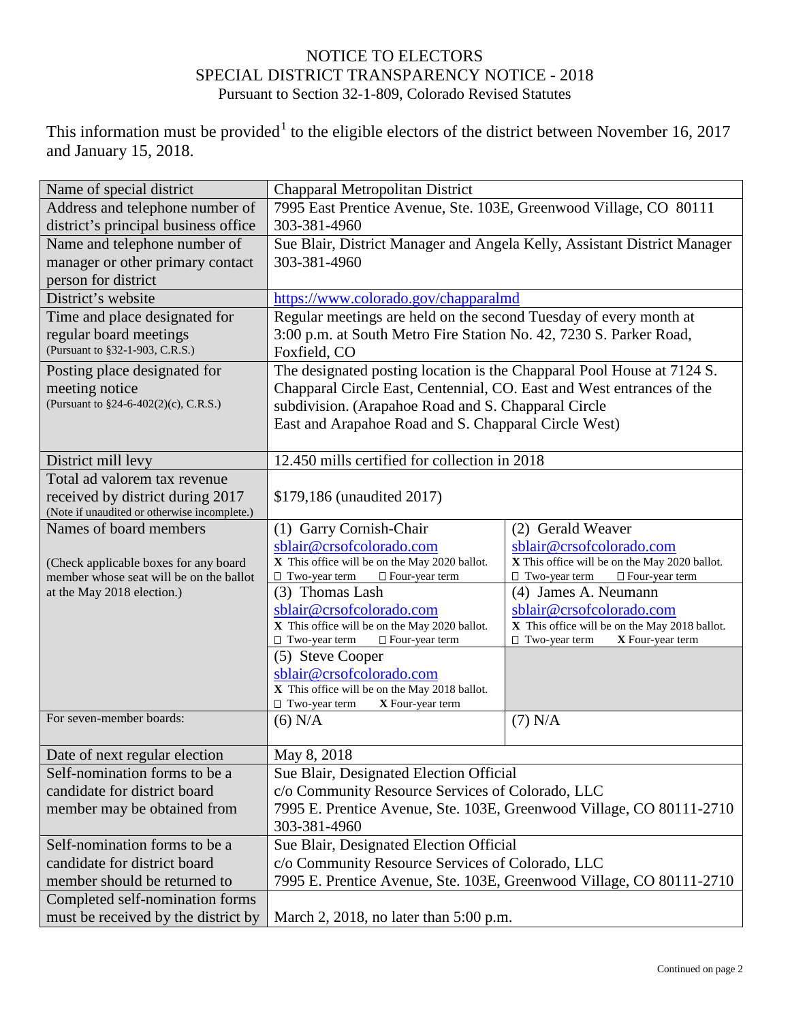## NOTICE TO ELECTORS SPECIAL DISTRICT TRANSPARENCY NOTICE - 2018 Pursuant to Section 32-1-809, Colorado Revised Statutes

This information must be provided<sup>[1](#page-1-0)</sup> to the eligible electors of the district between November 16, 2017 and January 15, 2018.

| Name of special district                     | Chapparal Metropolitan District                                          |                                               |  |
|----------------------------------------------|--------------------------------------------------------------------------|-----------------------------------------------|--|
| Address and telephone number of              | 7995 East Prentice Avenue, Ste. 103E, Greenwood Village, CO 80111        |                                               |  |
| district's principal business office         | 303-381-4960                                                             |                                               |  |
| Name and telephone number of                 | Sue Blair, District Manager and Angela Kelly, Assistant District Manager |                                               |  |
| manager or other primary contact             | 303-381-4960                                                             |                                               |  |
| person for district                          |                                                                          |                                               |  |
| District's website                           |                                                                          |                                               |  |
|                                              | https://www.colorado.gov/chapparalmd                                     |                                               |  |
| Time and place designated for                | Regular meetings are held on the second Tuesday of every month at        |                                               |  |
| regular board meetings                       | 3:00 p.m. at South Metro Fire Station No. 42, 7230 S. Parker Road,       |                                               |  |
| (Pursuant to §32-1-903, C.R.S.)              | Foxfield, CO                                                             |                                               |  |
| Posting place designated for                 | The designated posting location is the Chapparal Pool House at 7124 S.   |                                               |  |
| meeting notice                               | Chapparal Circle East, Centennial, CO. East and West entrances of the    |                                               |  |
| (Pursuant to §24-6-402(2)(c), C.R.S.)        | subdivision. (Arapahoe Road and S. Chapparal Circle                      |                                               |  |
|                                              | East and Arapahoe Road and S. Chapparal Circle West)                     |                                               |  |
|                                              |                                                                          |                                               |  |
| District mill levy                           | 12.450 mills certified for collection in 2018                            |                                               |  |
| Total ad valorem tax revenue                 |                                                                          |                                               |  |
| received by district during 2017             | \$179,186 (unaudited 2017)                                               |                                               |  |
| (Note if unaudited or otherwise incomplete.) |                                                                          |                                               |  |
| Names of board members                       | (1) Garry Cornish-Chair                                                  | (2) Gerald Weaver                             |  |
|                                              | sblair@crsofcolorado.com                                                 | sblair@crsofcolorado.com                      |  |
| (Check applicable boxes for any board        | X This office will be on the May 2020 ballot.                            | X This office will be on the May 2020 ballot. |  |
| member whose seat will be on the ballot      | □ Four-year term<br>$\Box$ Two-year term                                 | □ Four-year term<br>$\Box$ Two-year term      |  |
| at the May 2018 election.)                   | (3) Thomas Lash                                                          | (4) James A. Neumann                          |  |
|                                              | sblair@crsofcolorado.com                                                 | sblair@crsofcolorado.com                      |  |
|                                              | X This office will be on the May 2020 ballot.                            | X This office will be on the May 2018 ballot. |  |
|                                              | $\Box$ Two-year term<br>□ Four-year term                                 | $\Box$ Two-year term<br>X Four-year term      |  |
|                                              | (5) Steve Cooper                                                         |                                               |  |
|                                              | sblair@crsofcolorado.com                                                 |                                               |  |
|                                              | X This office will be on the May 2018 ballot.                            |                                               |  |
| For seven-member boards:                     | $\Box$ Two-year term<br>X Four-year term                                 |                                               |  |
|                                              | $(6)$ N/A                                                                | $(7)$ N/A                                     |  |
| Date of next regular election                | May 8, 2018                                                              |                                               |  |
| Self-nomination forms to be a                | Sue Blair, Designated Election Official                                  |                                               |  |
| candidate for district board                 | c/o Community Resource Services of Colorado, LLC                         |                                               |  |
| member may be obtained from                  | 7995 E. Prentice Avenue, Ste. 103E, Greenwood Village, CO 80111-2710     |                                               |  |
|                                              | 303-381-4960                                                             |                                               |  |
| Self-nomination forms to be a                | Sue Blair, Designated Election Official                                  |                                               |  |
| candidate for district board                 | c/o Community Resource Services of Colorado, LLC                         |                                               |  |
| member should be returned to                 | 7995 E. Prentice Avenue, Ste. 103E, Greenwood Village, CO 80111-2710     |                                               |  |
| Completed self-nomination forms              |                                                                          |                                               |  |
| must be received by the district by          | March 2, 2018, no later than $5:00$ p.m.                                 |                                               |  |